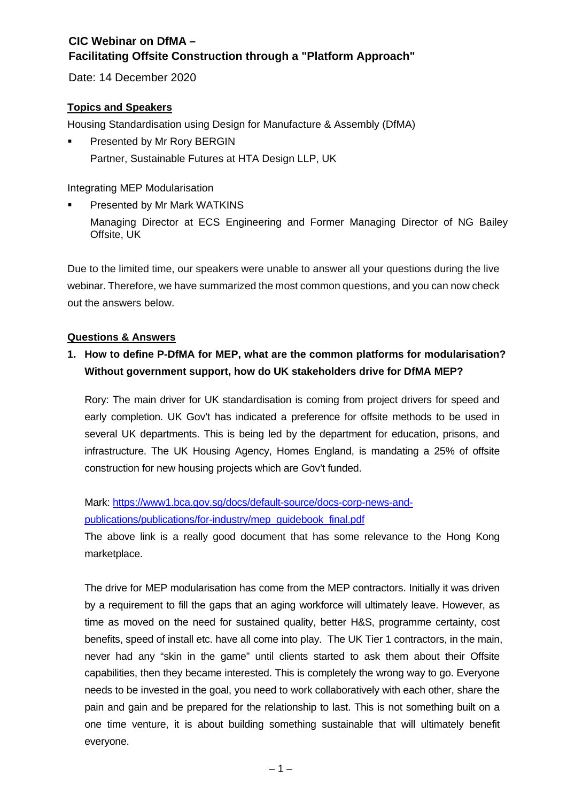Date: 14 December 2020

#### **Topics and Speakers**

Housing Standardisation using Design for Manufacture & Assembly (DfMA)

 Presented by Mr Rory BERGIN Partner, Sustainable Futures at HTA Design LLP, UK

Integrating MEP Modularisation

 Presented by Mr Mark WATKINS Managing Director at ECS Engineering and Former Managing Director of NG Bailey Offsite, UK

Due to the limited time, our speakers were unable to answer all your questions during the live webinar. Therefore, we have summarized the most common questions, and you can now check out the answers below.

#### **Questions & Answers**

## **1. How to define P-DfMA for MEP, what are the common platforms for modularisation? Without government support, how do UK stakeholders drive for DfMA MEP?**

Rory: The main driver for UK standardisation is coming from project drivers for speed and early completion. UK Gov't has indicated a preference for offsite methods to be used in several UK departments. This is being led by the department for education, prisons, and infrastructure. The UK Housing Agency, Homes England, is mandating a 25% of offsite construction for new housing projects which are Gov't funded.

Mark: [https://www1.bca.gov.sg/docs/default-source/docs-corp-news-and](https://www1.bca.gov.sg/docs/default-source/docs-corp-news-and-publications/publications/for-industry/mep_guidebook_final.pdf)[publications/publications/for-industry/mep\\_guidebook\\_final.pdf](https://www1.bca.gov.sg/docs/default-source/docs-corp-news-and-publications/publications/for-industry/mep_guidebook_final.pdf)

The above link is a really good document that has some relevance to the Hong Kong marketplace.

The drive for MEP modularisation has come from the MEP contractors. Initially it was driven by a requirement to fill the gaps that an aging workforce will ultimately leave. However, as time as moved on the need for sustained quality, better H&S, programme certainty, cost benefits, speed of install etc. have all come into play. The UK Tier 1 contractors, in the main, never had any "skin in the game" until clients started to ask them about their Offsite capabilities, then they became interested. This is completely the wrong way to go. Everyone needs to be invested in the goal, you need to work collaboratively with each other, share the pain and gain and be prepared for the relationship to last. This is not something built on a one time venture, it is about building something sustainable that will ultimately benefit everyone.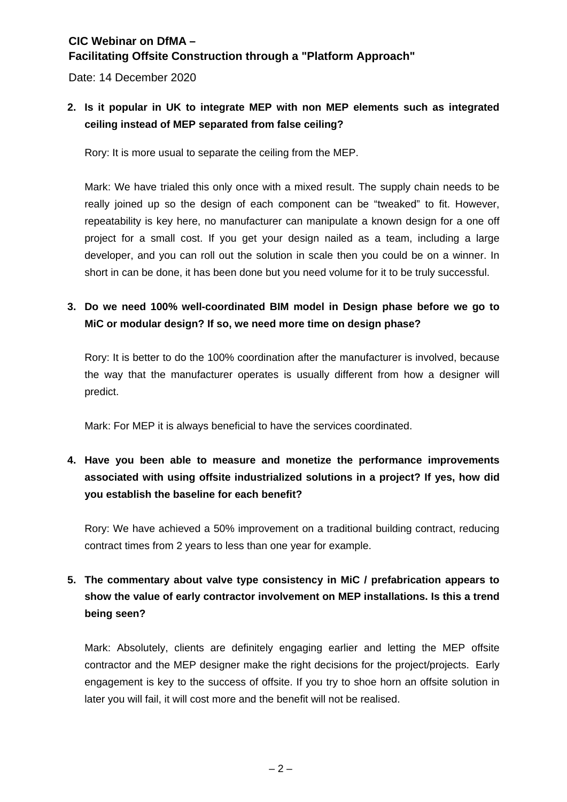Date: 14 December 2020

## **2. Is it popular in UK to integrate MEP with non MEP elements such as integrated ceiling instead of MEP separated from false ceiling?**

Rory: It is more usual to separate the ceiling from the MEP.

Mark: We have trialed this only once with a mixed result. The supply chain needs to be really joined up so the design of each component can be "tweaked" to fit. However, repeatability is key here, no manufacturer can manipulate a known design for a one off project for a small cost. If you get your design nailed as a team, including a large developer, and you can roll out the solution in scale then you could be on a winner. In short in can be done, it has been done but you need volume for it to be truly successful.

## **3. Do we need 100% well-coordinated BIM model in Design phase before we go to MiC or modular design? If so, we need more time on design phase?**

Rory: It is better to do the 100% coordination after the manufacturer is involved, because the way that the manufacturer operates is usually different from how a designer will predict.

Mark: For MEP it is always beneficial to have the services coordinated.

## **4. Have you been able to measure and monetize the performance improvements associated with using offsite industrialized solutions in a project? If yes, how did you establish the baseline for each benefit?**

Rory: We have achieved a 50% improvement on a traditional building contract, reducing contract times from 2 years to less than one year for example.

## **5. The commentary about valve type consistency in MiC / prefabrication appears to show the value of early contractor involvement on MEP installations. Is this a trend being seen?**

Mark: Absolutely, clients are definitely engaging earlier and letting the MEP offsite contractor and the MEP designer make the right decisions for the project/projects. Early engagement is key to the success of offsite. If you try to shoe horn an offsite solution in later you will fail, it will cost more and the benefit will not be realised.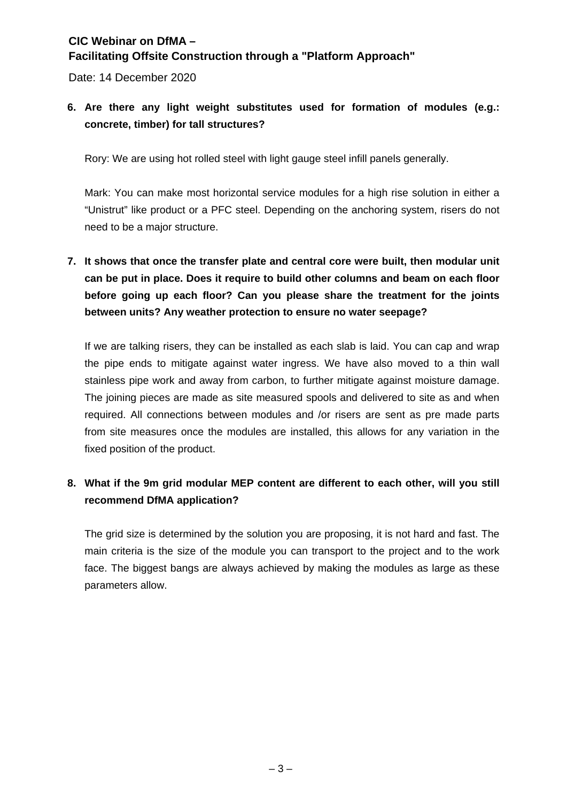Date: 14 December 2020

## **6. Are there any light weight substitutes used for formation of modules (e.g.: concrete, timber) for tall structures?**

Rory: We are using hot rolled steel with light gauge steel infill panels generally.

Mark: You can make most horizontal service modules for a high rise solution in either a "Unistrut" like product or a PFC steel. Depending on the anchoring system, risers do not need to be a major structure.

**7. It shows that once the transfer plate and central core were built, then modular unit can be put in place. Does it require to build other columns and beam on each floor before going up each floor? Can you please share the treatment for the joints between units? Any weather protection to ensure no water seepage?**

If we are talking risers, they can be installed as each slab is laid. You can cap and wrap the pipe ends to mitigate against water ingress. We have also moved to a thin wall stainless pipe work and away from carbon, to further mitigate against moisture damage. The joining pieces are made as site measured spools and delivered to site as and when required. All connections between modules and /or risers are sent as pre made parts from site measures once the modules are installed, this allows for any variation in the fixed position of the product.

## **8. What if the 9m grid modular MEP content are different to each other, will you still recommend DfMA application?**

The grid size is determined by the solution you are proposing, it is not hard and fast. The main criteria is the size of the module you can transport to the project and to the work face. The biggest bangs are always achieved by making the modules as large as these parameters allow.